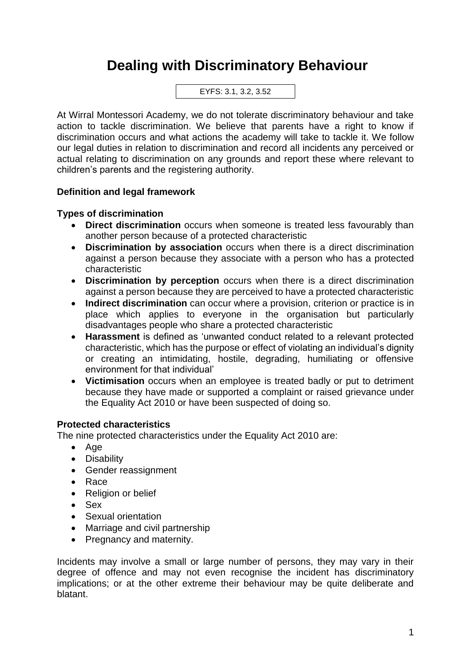# **Dealing with Discriminatory Behaviour**

EYFS: 3.1, 3.2, 3.52

At Wirral Montessori Academy, we do not tolerate discriminatory behaviour and take action to tackle discrimination. We believe that parents have a right to know if discrimination occurs and what actions the academy will take to tackle it. We follow our legal duties in relation to discrimination and record all incidents any perceived or actual relating to discrimination on any grounds and report these where relevant to children's parents and the registering authority.

# **Definition and legal framework**

# **Types of discrimination**

- **Direct discrimination** occurs when someone is treated less favourably than another person because of a protected characteristic
- **Discrimination by association** occurs when there is a direct discrimination against a person because they associate with a person who has a protected characteristic
- **Discrimination by perception** occurs when there is a direct discrimination against a person because they are perceived to have a protected characteristic
- **Indirect discrimination** can occur where a provision, criterion or practice is in place which applies to everyone in the organisation but particularly disadvantages people who share a protected characteristic
- **Harassment** is defined as 'unwanted conduct related to a relevant protected characteristic, which has the purpose or effect of violating an individual's dignity or creating an intimidating, hostile, degrading, humiliating or offensive environment for that individual'
- **Victimisation** occurs when an employee is treated badly or put to detriment because they have made or supported a complaint or raised grievance under the Equality Act 2010 or have been suspected of doing so.

# **Protected characteristics**

The nine protected characteristics under the Equality Act 2010 are:

- Age
- Disability
- Gender reassignment
- Race
- Religion or belief
- Sex
- Sexual orientation
- Marriage and civil partnership
- Pregnancy and maternity.

Incidents may involve a small or large number of persons, they may vary in their degree of offence and may not even recognise the incident has discriminatory implications; or at the other extreme their behaviour may be quite deliberate and blatant.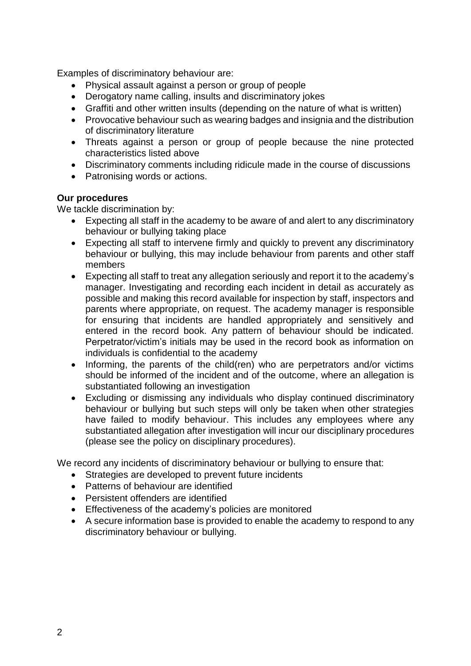Examples of discriminatory behaviour are:

- Physical assault against a person or group of people
- Derogatory name calling, insults and discriminatory jokes
- Graffiti and other written insults (depending on the nature of what is written)
- Provocative behaviour such as wearing badges and insignia and the distribution of discriminatory literature
- Threats against a person or group of people because the nine protected characteristics listed above
- Discriminatory comments including ridicule made in the course of discussions
- Patronising words or actions.

### **Our procedures**

We tackle discrimination by:

- Expecting all staff in the academy to be aware of and alert to any discriminatory behaviour or bullying taking place
- Expecting all staff to intervene firmly and quickly to prevent any discriminatory behaviour or bullying, this may include behaviour from parents and other staff members
- Expecting all staff to treat any allegation seriously and report it to the academy's manager. Investigating and recording each incident in detail as accurately as possible and making this record available for inspection by staff, inspectors and parents where appropriate, on request. The academy manager is responsible for ensuring that incidents are handled appropriately and sensitively and entered in the record book. Any pattern of behaviour should be indicated. Perpetrator/victim's initials may be used in the record book as information on individuals is confidential to the academy
- Informing, the parents of the child(ren) who are perpetrators and/or victims should be informed of the incident and of the outcome, where an allegation is substantiated following an investigation
- Excluding or dismissing any individuals who display continued discriminatory behaviour or bullying but such steps will only be taken when other strategies have failed to modify behaviour. This includes any employees where any substantiated allegation after investigation will incur our disciplinary procedures (please see the policy on disciplinary procedures).

We record any incidents of discriminatory behaviour or bullying to ensure that:

- Strategies are developed to prevent future incidents
- Patterns of behaviour are identified
- Persistent offenders are identified
- Effectiveness of the academy's policies are monitored
- A secure information base is provided to enable the academy to respond to any discriminatory behaviour or bullying.